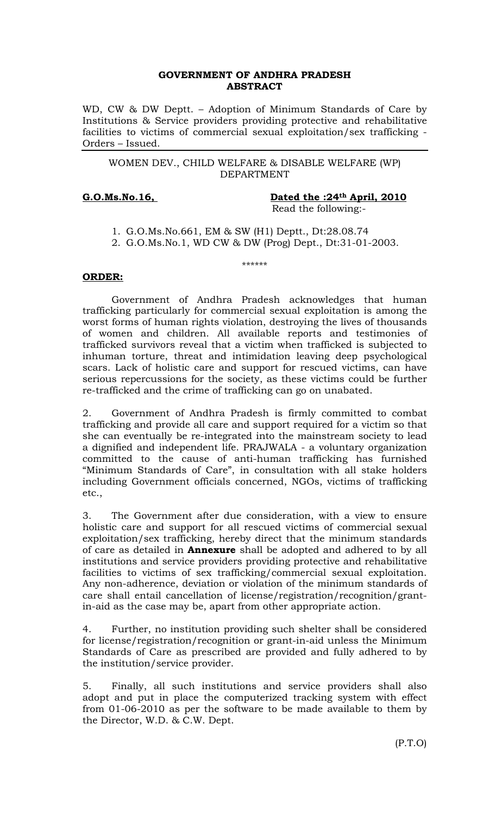# GOVERNMENT OF ANDHRA PRADESH ABSTRACT

WD, CW & DW Deptt. – Adoption of Minimum Standards of Care by Institutions & Service providers providing protective and rehabilitative facilities to victims of commercial sexual exploitation/sex trafficking - Orders – Issued.

# WOMEN DEV., CHILD WELFARE & DISABLE WELFARE (WP) DEPARTMENT

G.O.Ms.No.16, Dated the :24<sup>th</sup> April, 2010 Read the following:-

- 1. G.O.Ms.No.661, EM & SW (H1) Deptt., Dt:28.08.74
- 2. G.O.Ms.No.1, WD CW & DW (Prog) Dept., Dt:31-01-2003.

\*\*\*\*\*\*

# ORDER:

 Government of Andhra Pradesh acknowledges that human trafficking particularly for commercial sexual exploitation is among the worst forms of human rights violation, destroying the lives of thousands of women and children. All available reports and testimonies of trafficked survivors reveal that a victim when trafficked is subjected to inhuman torture, threat and intimidation leaving deep psychological scars. Lack of holistic care and support for rescued victims, can have serious repercussions for the society, as these victims could be further re-trafficked and the crime of trafficking can go on unabated.

2. Government of Andhra Pradesh is firmly committed to combat trafficking and provide all care and support required for a victim so that she can eventually be re-integrated into the mainstream society to lead a dignified and independent life. PRAJWALA - a voluntary organization committed to the cause of anti-human trafficking has furnished "Minimum Standards of Care", in consultation with all stake holders including Government officials concerned, NGOs, victims of trafficking etc.,

3. The Government after due consideration, with a view to ensure holistic care and support for all rescued victims of commercial sexual exploitation/sex trafficking, hereby direct that the minimum standards of care as detailed in **Annexure** shall be adopted and adhered to by all institutions and service providers providing protective and rehabilitative facilities to victims of sex trafficking/commercial sexual exploitation. Any non-adherence, deviation or violation of the minimum standards of care shall entail cancellation of license/registration/recognition/grantin-aid as the case may be, apart from other appropriate action.

4. Further, no institution providing such shelter shall be considered for license/registration/recognition or grant-in-aid unless the Minimum Standards of Care as prescribed are provided and fully adhered to by the institution/service provider.

5. Finally, all such institutions and service providers shall also adopt and put in place the computerized tracking system with effect from 01-06-2010 as per the software to be made available to them by the Director, W.D. & C.W. Dept.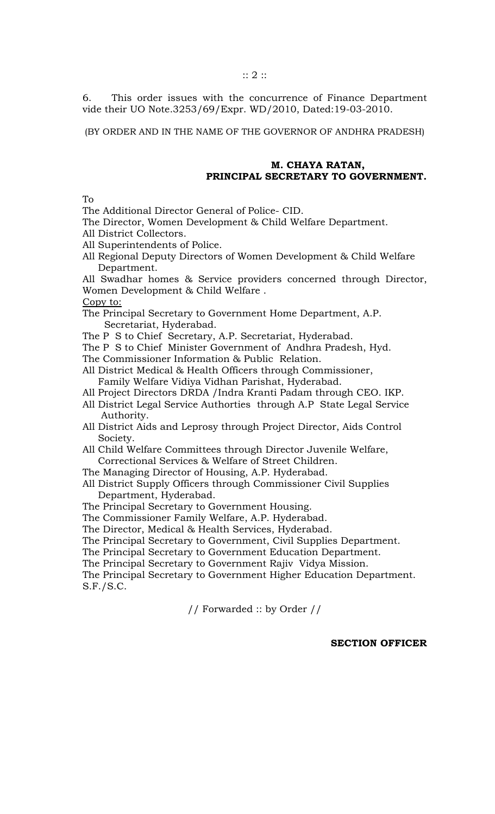6. This order issues with the concurrence of Finance Department vide their UO Note.3253/69/Expr. WD/2010, Dated:19-03-2010.

(BY ORDER AND IN THE NAME OF THE GOVERNOR OF ANDHRA PRADESH)

# M. CHAYA RATAN, PRINCIPAL SECRETARY TO GOVERNMENT.

 $T_{\Omega}$ 

The Additional Director General of Police- CID.

The Director, Women Development & Child Welfare Department.

All District Collectors.

All Superintendents of Police.

All Regional Deputy Directors of Women Development & Child Welfare Department.

All Swadhar homes & Service providers concerned through Director, Women Development & Child Welfare .

Copy to:

The Principal Secretary to Government Home Department, A.P. Secretariat, Hyderabad.

The P S to Chief Secretary, A.P. Secretariat, Hyderabad.

The P S to Chief Minister Government of Andhra Pradesh, Hyd.

The Commissioner Information & Public Relation.

All District Medical & Health Officers through Commissioner, Family Welfare Vidiya Vidhan Parishat, Hyderabad.

- All Project Directors DRDA /Indra Kranti Padam through CEO. IKP.
- All District Legal Service Authorties through A.P State Legal Service Authority.
- All District Aids and Leprosy through Project Director, Aids Control Society.

All Child Welfare Committees through Director Juvenile Welfare, Correctional Services & Welfare of Street Children.

The Managing Director of Housing, A.P. Hyderabad.

All District Supply Officers through Commissioner Civil Supplies Department, Hyderabad.

The Principal Secretary to Government Housing.

The Commissioner Family Welfare, A.P. Hyderabad.

The Director, Medical & Health Services, Hyderabad.

The Principal Secretary to Government, Civil Supplies Department.

The Principal Secretary to Government Education Department.

The Principal Secretary to Government Rajiv Vidya Mission.

The Principal Secretary to Government Higher Education Department. S.F./S.C.

// Forwarded :: by Order //

# SECTION OFFICER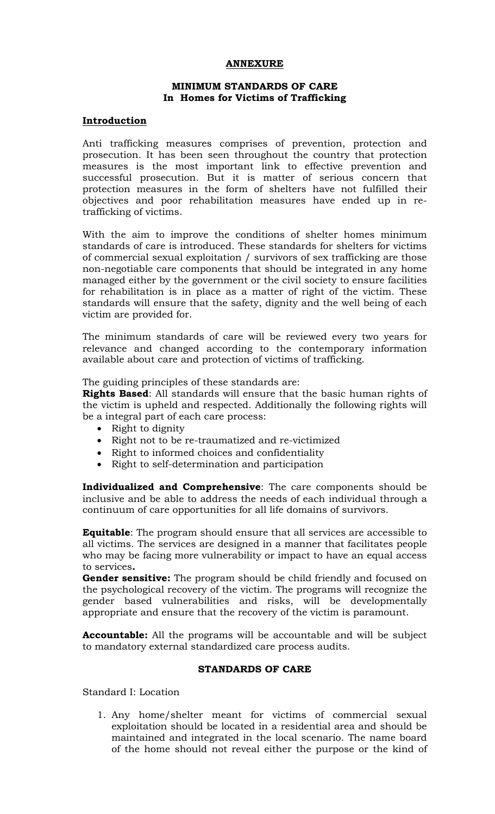# ANNEXURE

### MINIMUM STANDARDS OF CARE In Homes for Victims of Trafficking

### Introduction

Anti trafficking measures comprises of prevention, protection and prosecution. It has been seen throughout the country that protection measures is the most important link to effective prevention and successful prosecution. But it is matter of serious concern that protection measures in the form of shelters have not fulfilled their objectives and poor rehabilitation measures have ended up in retrafficking of victims.

With the aim to improve the conditions of shelter homes minimum standards of care is introduced. These standards for shelters for victims of commercial sexual exploitation / survivors of sex trafficking are those non-negotiable care components that should be integrated in any home managed either by the government or the civil society to ensure facilities for rehabilitation is in place as a matter of right of the victim. These standards will ensure that the safety, dignity and the well being of each victim are provided for.

The minimum standards of care will be reviewed every two years for relevance and changed according to the contemporary information available about care and protection of victims of trafficking.

The guiding principles of these standards are:

Rights Based: All standards will ensure that the basic human rights of the victim is upheld and respected. Additionally the following rights will be a integral part of each care process:

- Right to dignity
- Right not to be re-traumatized and re-victimized
- Right to informed choices and confidentiality
- Right to self-determination and participation

Individualized and Comprehensive: The care components should be inclusive and be able to address the needs of each individual through a continuum of care opportunities for all life domains of survivors.

Equitable: The program should ensure that all services are accessible to all victims. The services are designed in a manner that facilitates people who may be facing more vulnerability or impact to have an equal access to services.

Gender sensitive: The program should be child friendly and focused on the psychological recovery of the victim. The programs will recognize the gender based vulnerabilities and risks, will be developmentally appropriate and ensure that the recovery of the victim is paramount.

Accountable: All the programs will be accountable and will be subject to mandatory external standardized care process audits.

# STANDARDS OF CARE

Standard I: Location

1. Any home/shelter meant for victims of commercial sexual exploitation should be located in a residential area and should be maintained and integrated in the local scenario. The name board of the home should not reveal either the purpose or the kind of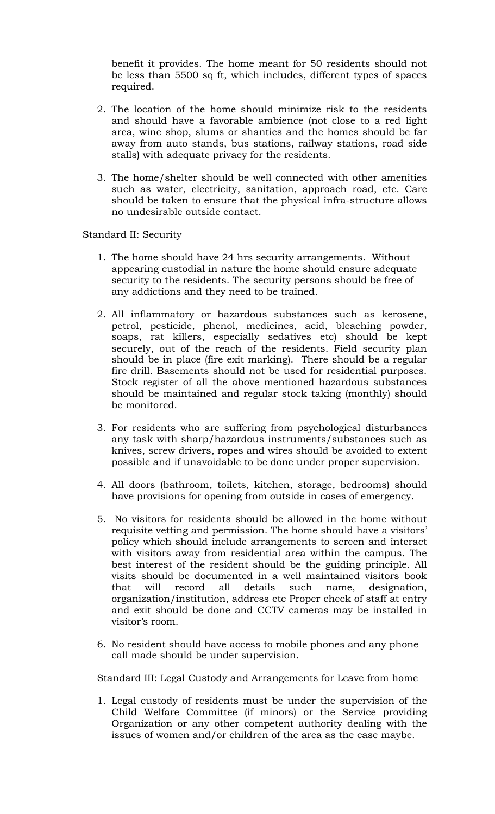benefit it provides. The home meant for 50 residents should not be less than 5500 sq ft, which includes, different types of spaces required.

- 2. The location of the home should minimize risk to the residents and should have a favorable ambience (not close to a red light area, wine shop, slums or shanties and the homes should be far away from auto stands, bus stations, railway stations, road side stalls) with adequate privacy for the residents.
- 3. The home/shelter should be well connected with other amenities such as water, electricity, sanitation, approach road, etc. Care should be taken to ensure that the physical infra-structure allows no undesirable outside contact.

Standard II: Security

- 1. The home should have 24 hrs security arrangements. Without appearing custodial in nature the home should ensure adequate security to the residents. The security persons should be free of any addictions and they need to be trained.
- 2. All inflammatory or hazardous substances such as kerosene, petrol, pesticide, phenol, medicines, acid, bleaching powder, soaps, rat killers, especially sedatives etc) should be kept securely, out of the reach of the residents. Field security plan should be in place (fire exit marking). There should be a regular fire drill. Basements should not be used for residential purposes. Stock register of all the above mentioned hazardous substances should be maintained and regular stock taking (monthly) should be monitored.
- 3. For residents who are suffering from psychological disturbances any task with sharp/hazardous instruments/substances such as knives, screw drivers, ropes and wires should be avoided to extent possible and if unavoidable to be done under proper supervision.
- 4. All doors (bathroom, toilets, kitchen, storage, bedrooms) should have provisions for opening from outside in cases of emergency.
- 5. No visitors for residents should be allowed in the home without requisite vetting and permission. The home should have a visitors' policy which should include arrangements to screen and interact with visitors away from residential area within the campus. The best interest of the resident should be the guiding principle. All visits should be documented in a well maintained visitors book that will record all details such name, designation, organization/institution, address etc Proper check of staff at entry and exit should be done and CCTV cameras may be installed in visitor's room.
- 6. No resident should have access to mobile phones and any phone call made should be under supervision.

Standard III: Legal Custody and Arrangements for Leave from home

1. Legal custody of residents must be under the supervision of the Child Welfare Committee (if minors) or the Service providing Organization or any other competent authority dealing with the issues of women and/or children of the area as the case maybe.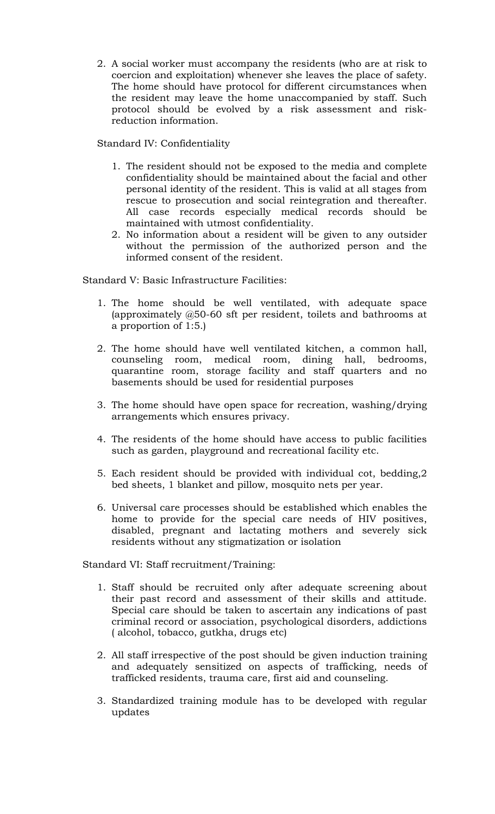2. A social worker must accompany the residents (who are at risk to coercion and exploitation) whenever she leaves the place of safety. The home should have protocol for different circumstances when the resident may leave the home unaccompanied by staff. Such protocol should be evolved by a risk assessment and riskreduction information.

Standard IV: Confidentiality

- 1. The resident should not be exposed to the media and complete confidentiality should be maintained about the facial and other personal identity of the resident. This is valid at all stages from rescue to prosecution and social reintegration and thereafter. All case records especially medical records should be maintained with utmost confidentiality.
- 2. No information about a resident will be given to any outsider without the permission of the authorized person and the informed consent of the resident.

Standard V: Basic Infrastructure Facilities:

- 1. The home should be well ventilated, with adequate space (approximately @50-60 sft per resident, toilets and bathrooms at a proportion of 1:5.)
- 2. The home should have well ventilated kitchen, a common hall, counseling room, medical room, dining hall, bedrooms, quarantine room, storage facility and staff quarters and no basements should be used for residential purposes
- 3. The home should have open space for recreation, washing/drying arrangements which ensures privacy.
- 4. The residents of the home should have access to public facilities such as garden, playground and recreational facility etc.
- 5. Each resident should be provided with individual cot, bedding,2 bed sheets, 1 blanket and pillow, mosquito nets per year.
- 6. Universal care processes should be established which enables the home to provide for the special care needs of HIV positives, disabled, pregnant and lactating mothers and severely sick residents without any stigmatization or isolation

Standard VI: Staff recruitment/Training:

- 1. Staff should be recruited only after adequate screening about their past record and assessment of their skills and attitude. Special care should be taken to ascertain any indications of past criminal record or association, psychological disorders, addictions ( alcohol, tobacco, gutkha, drugs etc)
- 2. All staff irrespective of the post should be given induction training and adequately sensitized on aspects of trafficking, needs of trafficked residents, trauma care, first aid and counseling.
- 3. Standardized training module has to be developed with regular updates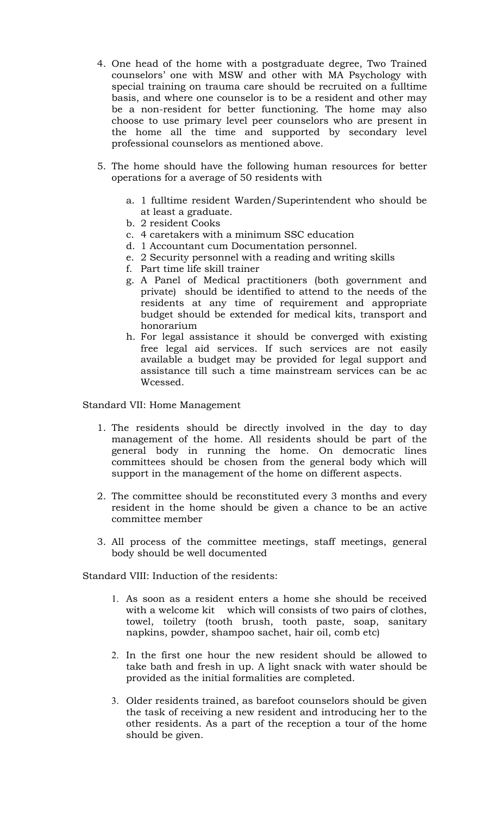- 4. One head of the home with a postgraduate degree, Two Trained counselors' one with MSW and other with MA Psychology with special training on trauma care should be recruited on a fulltime basis, and where one counselor is to be a resident and other may be a non-resident for better functioning. The home may also choose to use primary level peer counselors who are present in the home all the time and supported by secondary level professional counselors as mentioned above.
- 5. The home should have the following human resources for better operations for a average of 50 residents with
	- a. 1 fulltime resident Warden/Superintendent who should be at least a graduate.
	- b. 2 resident Cooks
	- c. 4 caretakers with a minimum SSC education
	- d. 1 Accountant cum Documentation personnel.
	- e. 2 Security personnel with a reading and writing skills
	- f. Part time life skill trainer
	- g. A Panel of Medical practitioners (both government and private) should be identified to attend to the needs of the residents at any time of requirement and appropriate budget should be extended for medical kits, transport and honorarium
	- h. For legal assistance it should be converged with existing free legal aid services. If such services are not easily available a budget may be provided for legal support and assistance till such a time mainstream services can be ac Wcessed.

Standard VII: Home Management

- 1. The residents should be directly involved in the day to day management of the home. All residents should be part of the general body in running the home. On democratic lines committees should be chosen from the general body which will support in the management of the home on different aspects.
- 2. The committee should be reconstituted every 3 months and every resident in the home should be given a chance to be an active committee member
- 3. All process of the committee meetings, staff meetings, general body should be well documented

Standard VIII: Induction of the residents:

- 1. As soon as a resident enters a home she should be received with a welcome kit which will consists of two pairs of clothes, towel, toiletry (tooth brush, tooth paste, soap, sanitary napkins, powder, shampoo sachet, hair oil, comb etc)
- 2. In the first one hour the new resident should be allowed to take bath and fresh in up. A light snack with water should be provided as the initial formalities are completed.
- 3. Older residents trained, as barefoot counselors should be given the task of receiving a new resident and introducing her to the other residents. As a part of the reception a tour of the home should be given.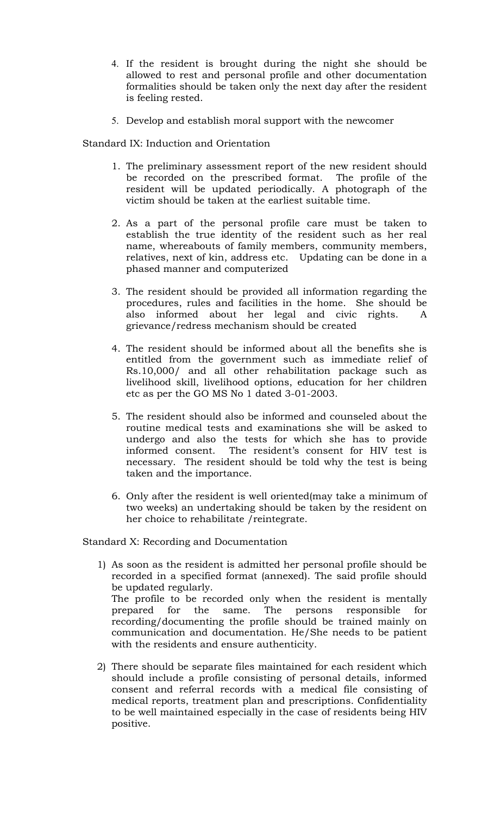- 4. If the resident is brought during the night she should be allowed to rest and personal profile and other documentation formalities should be taken only the next day after the resident is feeling rested.
- 5. Develop and establish moral support with the newcomer

Standard IX: Induction and Orientation

- 1. The preliminary assessment report of the new resident should be recorded on the prescribed format. The profile of the resident will be updated periodically. A photograph of the victim should be taken at the earliest suitable time.
- 2. As a part of the personal profile care must be taken to establish the true identity of the resident such as her real name, whereabouts of family members, community members, relatives, next of kin, address etc. Updating can be done in a phased manner and computerized
- 3. The resident should be provided all information regarding the procedures, rules and facilities in the home. She should be also informed about her legal and civic rights. A grievance/redress mechanism should be created
- 4. The resident should be informed about all the benefits she is entitled from the government such as immediate relief of Rs.10,000/ and all other rehabilitation package such as livelihood skill, livelihood options, education for her children etc as per the GO MS No 1 dated 3-01-2003.
- 5. The resident should also be informed and counseled about the routine medical tests and examinations she will be asked to undergo and also the tests for which she has to provide informed consent. The resident's consent for HIV test is The resident's consent for HIV test is necessary. The resident should be told why the test is being taken and the importance.
- 6. Only after the resident is well oriented(may take a minimum of two weeks) an undertaking should be taken by the resident on her choice to rehabilitate /reintegrate.

Standard X: Recording and Documentation

- 1) As soon as the resident is admitted her personal profile should be recorded in a specified format (annexed). The said profile should be updated regularly. The profile to be recorded only when the resident is mentally prepared for the same. The persons responsible for recording/documenting the profile should be trained mainly on communication and documentation. He/She needs to be patient with the residents and ensure authenticity.
- 2) There should be separate files maintained for each resident which should include a profile consisting of personal details, informed consent and referral records with a medical file consisting of medical reports, treatment plan and prescriptions. Confidentiality to be well maintained especially in the case of residents being HIV positive.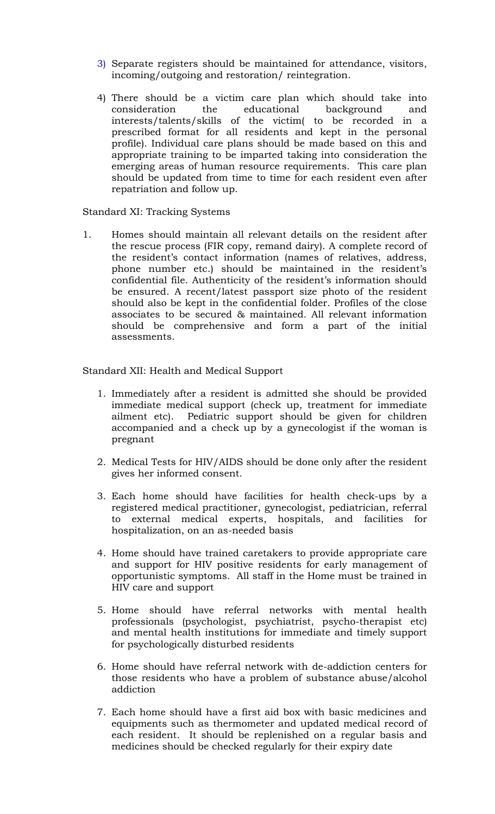- 3) Separate registers should be maintained for attendance, visitors, incoming/outgoing and restoration/ reintegration.
- 4) There should be a victim care plan which should take into consideration the educational background and interests/talents/skills of the victim( to be recorded in a prescribed format for all residents and kept in the personal profile). Individual care plans should be made based on this and appropriate training to be imparted taking into consideration the emerging areas of human resource requirements. This care plan should be updated from time to time for each resident even after repatriation and follow up.

Standard XI: Tracking Systems

1. Homes should maintain all relevant details on the resident after the rescue process (FIR copy, remand dairy). A complete record of the resident's contact information (names of relatives, address, phone number etc.) should be maintained in the resident's confidential file. Authenticity of the resident's information should be ensured. A recent/latest passport size photo of the resident should also be kept in the confidential folder. Profiles of the close associates to be secured & maintained. All relevant information should be comprehensive and form a part of the initial assessments.

Standard XII: Health and Medical Support

- 1. Immediately after a resident is admitted she should be provided immediate medical support (check up, treatment for immediate ailment etc). Pediatric support should be given for children accompanied and a check up by a gynecologist if the woman is pregnant
- 2. Medical Tests for HIV/AIDS should be done only after the resident gives her informed consent.
- 3. Each home should have facilities for health check-ups by a registered medical practitioner, gynecologist, pediatrician, referral to external medical experts, hospitals, and facilities for hospitalization, on an as-needed basis
- 4. Home should have trained caretakers to provide appropriate care and support for HIV positive residents for early management of opportunistic symptoms. All staff in the Home must be trained in HIV care and support
- 5. Home should have referral networks with mental health professionals (psychologist, psychiatrist, psycho-therapist etc) and mental health institutions for immediate and timely support for psychologically disturbed residents
- 6. Home should have referral network with de-addiction centers for those residents who have a problem of substance abuse/alcohol addiction
- 7. Each home should have a first aid box with basic medicines and equipments such as thermometer and updated medical record of each resident. It should be replenished on a regular basis and medicines should be checked regularly for their expiry date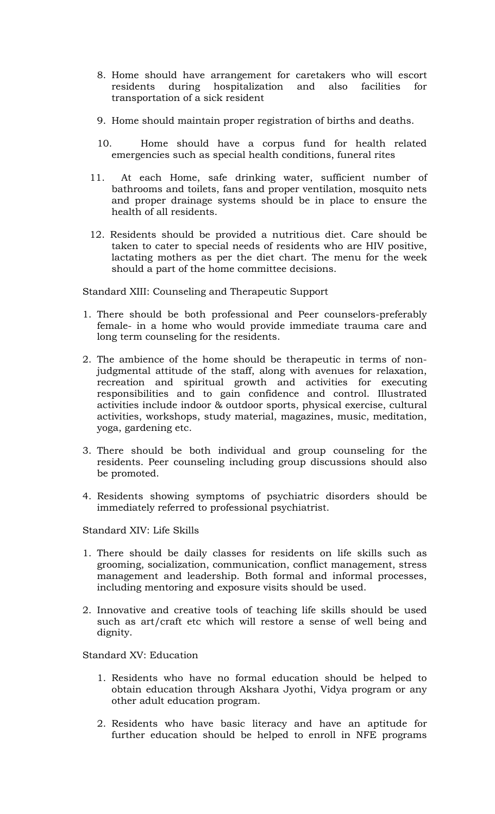- 8. Home should have arrangement for caretakers who will escort residents during hospitalization and also facilities for transportation of a sick resident
- 9. Home should maintain proper registration of births and deaths.
- 10. Home should have a corpus fund for health related emergencies such as special health conditions, funeral rites
- 11. At each Home, safe drinking water, sufficient number of bathrooms and toilets, fans and proper ventilation, mosquito nets and proper drainage systems should be in place to ensure the health of all residents.
- 12. Residents should be provided a nutritious diet. Care should be taken to cater to special needs of residents who are HIV positive, lactating mothers as per the diet chart. The menu for the week should a part of the home committee decisions.

Standard XIII: Counseling and Therapeutic Support

- 1. There should be both professional and Peer counselors-preferably female- in a home who would provide immediate trauma care and long term counseling for the residents.
- 2. The ambience of the home should be therapeutic in terms of nonjudgmental attitude of the staff, along with avenues for relaxation, recreation and spiritual growth and activities for executing responsibilities and to gain confidence and control. Illustrated activities include indoor & outdoor sports, physical exercise, cultural activities, workshops, study material, magazines, music, meditation, yoga, gardening etc.
- 3. There should be both individual and group counseling for the residents. Peer counseling including group discussions should also be promoted.
- 4. Residents showing symptoms of psychiatric disorders should be immediately referred to professional psychiatrist.

Standard XIV: Life Skills

- 1. There should be daily classes for residents on life skills such as grooming, socialization, communication, conflict management, stress management and leadership. Both formal and informal processes, including mentoring and exposure visits should be used.
- 2. Innovative and creative tools of teaching life skills should be used such as art/craft etc which will restore a sense of well being and dignity.

Standard XV: Education

- 1. Residents who have no formal education should be helped to obtain education through Akshara Jyothi, Vidya program or any other adult education program.
- 2. Residents who have basic literacy and have an aptitude for further education should be helped to enroll in NFE programs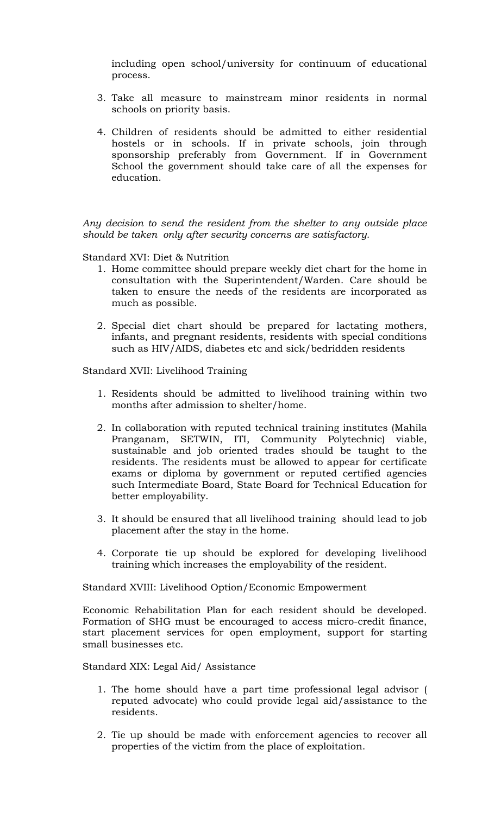including open school/university for continuum of educational process.

- 3. Take all measure to mainstream minor residents in normal schools on priority basis.
- 4. Children of residents should be admitted to either residential hostels or in schools. If in private schools, join through sponsorship preferably from Government. If in Government School the government should take care of all the expenses for education.

Any decision to send the resident from the shelter to any outside place should be taken only after security concerns are satisfactory.

Standard XVI: Diet & Nutrition

- 1. Home committee should prepare weekly diet chart for the home in consultation with the Superintendent/Warden. Care should be taken to ensure the needs of the residents are incorporated as much as possible.
- 2. Special diet chart should be prepared for lactating mothers, infants, and pregnant residents, residents with special conditions such as HIV/AIDS, diabetes etc and sick/bedridden residents

Standard XVII: Livelihood Training

- 1. Residents should be admitted to livelihood training within two months after admission to shelter/home.
- 2. In collaboration with reputed technical training institutes (Mahila Pranganam, SETWIN, ITI, Community Polytechnic) viable, sustainable and job oriented trades should be taught to the residents. The residents must be allowed to appear for certificate exams or diploma by government or reputed certified agencies such Intermediate Board, State Board for Technical Education for better employability.
- 3. It should be ensured that all livelihood training should lead to job placement after the stay in the home.
- 4. Corporate tie up should be explored for developing livelihood training which increases the employability of the resident.

Standard XVIII: Livelihood Option/Economic Empowerment

Economic Rehabilitation Plan for each resident should be developed. Formation of SHG must be encouraged to access micro-credit finance, start placement services for open employment, support for starting small businesses etc.

Standard XIX: Legal Aid/ Assistance

- 1. The home should have a part time professional legal advisor ( reputed advocate) who could provide legal aid/assistance to the residents.
- 2. Tie up should be made with enforcement agencies to recover all properties of the victim from the place of exploitation.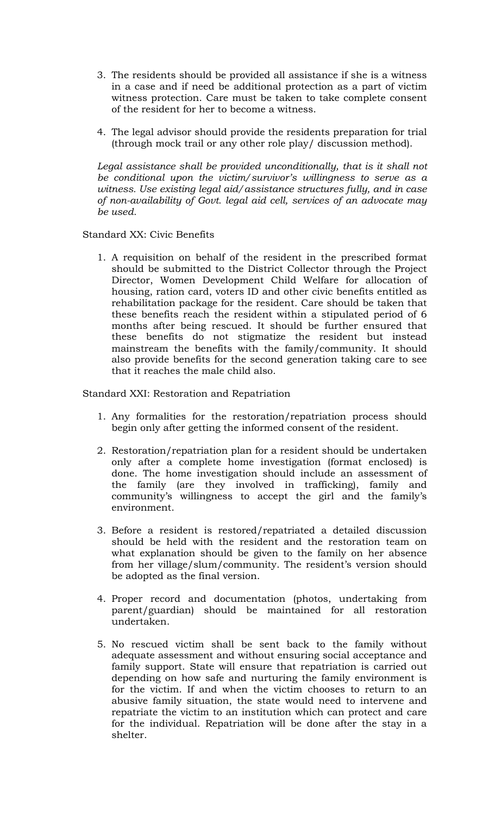- 3. The residents should be provided all assistance if she is a witness in a case and if need be additional protection as a part of victim witness protection. Care must be taken to take complete consent of the resident for her to become a witness.
- 4. The legal advisor should provide the residents preparation for trial (through mock trail or any other role play/ discussion method).

Legal assistance shall be provided unconditionally, that is it shall not be conditional upon the victim/survivor's willingness to serve as a witness. Use existing legal aid/assistance structures fully, and in case of non-availability of Govt. legal aid cell, services of an advocate may be used.

# Standard XX: Civic Benefits

1. A requisition on behalf of the resident in the prescribed format should be submitted to the District Collector through the Project Director, Women Development Child Welfare for allocation of housing, ration card, voters ID and other civic benefits entitled as rehabilitation package for the resident. Care should be taken that these benefits reach the resident within a stipulated period of 6 months after being rescued. It should be further ensured that these benefits do not stigmatize the resident but instead mainstream the benefits with the family/community. It should also provide benefits for the second generation taking care to see that it reaches the male child also.

Standard XXI: Restoration and Repatriation

- 1. Any formalities for the restoration/repatriation process should begin only after getting the informed consent of the resident.
- 2. Restoration/repatriation plan for a resident should be undertaken only after a complete home investigation (format enclosed) is done. The home investigation should include an assessment of the family (are they involved in trafficking), family and community's willingness to accept the girl and the family's environment.
- 3. Before a resident is restored/repatriated a detailed discussion should be held with the resident and the restoration team on what explanation should be given to the family on her absence from her village/slum/community. The resident's version should be adopted as the final version.
- 4. Proper record and documentation (photos, undertaking from parent/guardian) should be maintained for all restoration undertaken.
- 5. No rescued victim shall be sent back to the family without adequate assessment and without ensuring social acceptance and family support. State will ensure that repatriation is carried out depending on how safe and nurturing the family environment is for the victim. If and when the victim chooses to return to an abusive family situation, the state would need to intervene and repatriate the victim to an institution which can protect and care for the individual. Repatriation will be done after the stay in a shelter.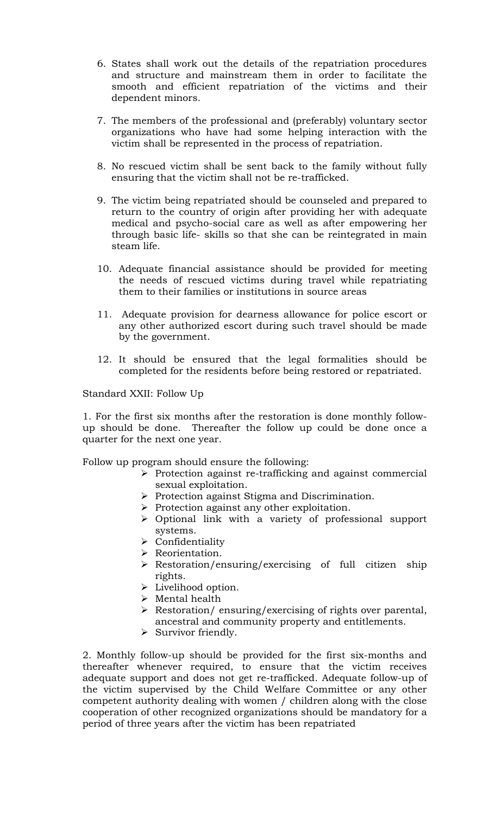- 6. States shall work out the details of the repatriation procedures and structure and mainstream them in order to facilitate the smooth and efficient repatriation of the victims and their dependent minors.
- 7. The members of the professional and (preferably) voluntary sector organizations who have had some helping interaction with the victim shall be represented in the process of repatriation.
- 8. No rescued victim shall be sent back to the family without fully ensuring that the victim shall not be re-trafficked.
- 9. The victim being repatriated should be counseled and prepared to return to the country of origin after providing her with adequate medical and psycho-social care as well as after empowering her through basic life- skills so that she can be reintegrated in main steam life.
- 10. Adequate financial assistance should be provided for meeting the needs of rescued victims during travel while repatriating them to their families or institutions in source areas
- 11. Adequate provision for dearness allowance for police escort or any other authorized escort during such travel should be made by the government.
- 12. It should be ensured that the legal formalities should be completed for the residents before being restored or repatriated.

#### Standard XXII: Follow Up

1. For the first six months after the restoration is done monthly followup should be done. Thereafter the follow up could be done once a quarter for the next one year.

Follow up program should ensure the following:

- $\triangleright$  Protection against re-trafficking and against commercial sexual exploitation.
- $\triangleright$  Protection against Stigma and Discrimination.
- $\triangleright$  Protection against any other exploitation.
- Optional link with a variety of professional support systems.
- $\triangleright$  Confidentiality
- > Reorientation.
- Restoration/ensuring/exercising of full citizen ship rights.
- > Livelihood option.
- Mental health
- $\triangleright$  Restoration/ ensuring/exercising of rights over parental, ancestral and community property and entitlements.
- $\triangleright$  Survivor friendly.

2. Monthly follow-up should be provided for the first six-months and thereafter whenever required, to ensure that the victim receives adequate support and does not get re-trafficked. Adequate follow-up of the victim supervised by the Child Welfare Committee or any other competent authority dealing with women / children along with the close cooperation of other recognized organizations should be mandatory for a period of three years after the victim has been repatriated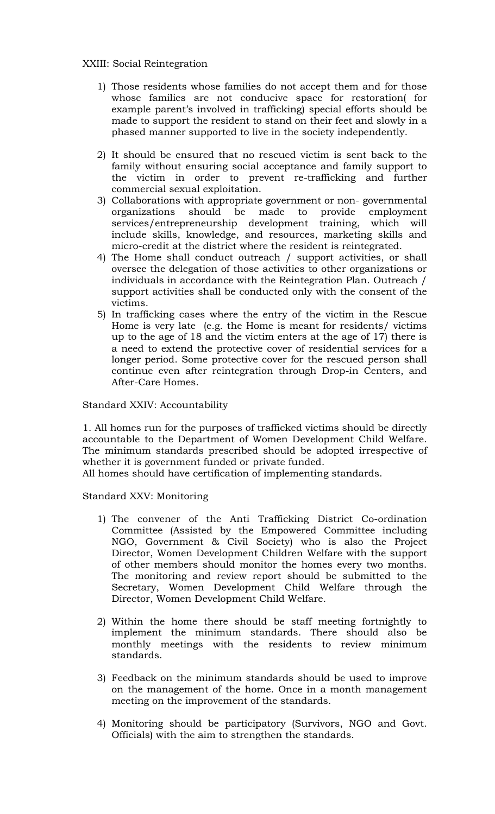# XXIII: Social Reintegration

- 1) Those residents whose families do not accept them and for those whose families are not conducive space for restoration( for example parent's involved in trafficking) special efforts should be made to support the resident to stand on their feet and slowly in a phased manner supported to live in the society independently.
- 2) It should be ensured that no rescued victim is sent back to the family without ensuring social acceptance and family support to the victim in order to prevent re-trafficking and further commercial sexual exploitation.
- 3) Collaborations with appropriate government or non- governmental organizations should be made to provide employment services/entrepreneurship development training, which will include skills, knowledge, and resources, marketing skills and micro-credit at the district where the resident is reintegrated.
- 4) The Home shall conduct outreach / support activities, or shall oversee the delegation of those activities to other organizations or individuals in accordance with the Reintegration Plan. Outreach / support activities shall be conducted only with the consent of the victims.
- 5) In trafficking cases where the entry of the victim in the Rescue Home is very late (e.g. the Home is meant for residents/ victims up to the age of 18 and the victim enters at the age of 17) there is a need to extend the protective cover of residential services for a longer period. Some protective cover for the rescued person shall continue even after reintegration through Drop-in Centers, and After-Care Homes.

Standard XXIV: Accountability

1. All homes run for the purposes of trafficked victims should be directly accountable to the Department of Women Development Child Welfare. The minimum standards prescribed should be adopted irrespective of whether it is government funded or private funded.

All homes should have certification of implementing standards.

Standard XXV: Monitoring

- 1) The convener of the Anti Trafficking District Co-ordination Committee (Assisted by the Empowered Committee including NGO, Government & Civil Society) who is also the Project Director, Women Development Children Welfare with the support of other members should monitor the homes every two months. The monitoring and review report should be submitted to the Secretary, Women Development Child Welfare through the Director, Women Development Child Welfare.
- 2) Within the home there should be staff meeting fortnightly to implement the minimum standards. There should also be monthly meetings with the residents to review minimum standards.
- 3) Feedback on the minimum standards should be used to improve on the management of the home. Once in a month management meeting on the improvement of the standards.
- 4) Monitoring should be participatory (Survivors, NGO and Govt. Officials) with the aim to strengthen the standards.